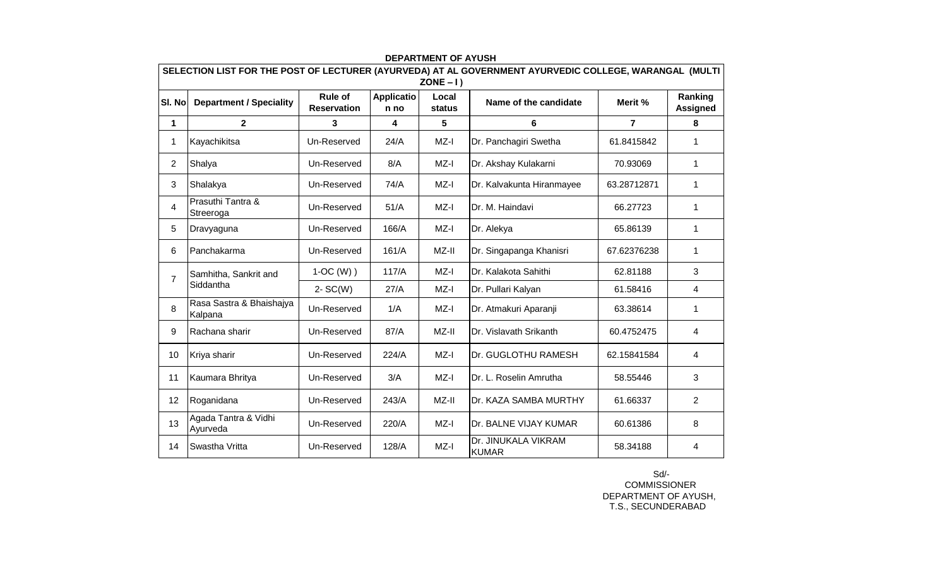| SELECTION LIST FOR THE POST OF LECTURER (AYURVEDA) AT AL GOVERNMENT AYURVEDIC COLLEGE, WARANGAL (MULTI |                                     |                               |                           |                                |                                     |                |                            |  |  |  |  |  |
|--------------------------------------------------------------------------------------------------------|-------------------------------------|-------------------------------|---------------------------|--------------------------------|-------------------------------------|----------------|----------------------------|--|--|--|--|--|
| SI. No                                                                                                 | <b>Department / Speciality</b>      | Rule of<br><b>Reservation</b> | <b>Applicatio</b><br>n no | $ZONE - I)$<br>Local<br>status | Name of the candidate               | Merit %        | Ranking<br><b>Assigned</b> |  |  |  |  |  |
| 1                                                                                                      | $\mathbf{2}$                        | 3                             | 4                         | 5                              | 6                                   | $\overline{7}$ | 8                          |  |  |  |  |  |
| 1                                                                                                      | Kayachikitsa                        | Un-Reserved                   | 24/A                      | $MZ-I$                         | Dr. Panchagiri Swetha               | 61.8415842     | 1                          |  |  |  |  |  |
| $\overline{2}$                                                                                         | Shalya                              | Un-Reserved                   | 8/A                       | MZ-I                           | Dr. Akshay Kulakarni                | 70.93069       | 1                          |  |  |  |  |  |
| 3                                                                                                      | Shalakya                            | Un-Reserved                   | 74/A                      | $MZ-I$                         | Dr. Kalvakunta Hiranmayee           | 63.28712871    | 1                          |  |  |  |  |  |
| 4                                                                                                      | Prasuthi Tantra &<br>Streeroga      | Un-Reserved                   | 51/A                      | MZ-I                           | Dr. M. Haindavi                     | 66.27723       | 1                          |  |  |  |  |  |
| 5                                                                                                      | Dravyaguna                          | Un-Reserved                   | 166/A                     | MZ-I                           | Dr. Alekya                          | 65.86139       | 1                          |  |  |  |  |  |
| 6                                                                                                      | Panchakarma                         | Un-Reserved                   | 161/A                     | MZ-II                          | Dr. Singapanga Khanisri             | 67.62376238    | 1                          |  |  |  |  |  |
| $\overline{7}$                                                                                         | Samhitha, Sankrit and<br>Siddantha  | $1-OC(W)$ )                   | 117/A                     | MZ-I                           | Dr. Kalakota Sahithi                | 62.81188       | 3                          |  |  |  |  |  |
|                                                                                                        |                                     | $2-SC(W)$                     | 27/A                      | MZ-I                           | Dr. Pullari Kalyan                  | 61.58416       | 4                          |  |  |  |  |  |
| 8                                                                                                      | Rasa Sastra & Bhaishajya<br>Kalpana | Un-Reserved                   | 1/A                       | MZ-I                           | Dr. Atmakuri Aparanji               | 63.38614       | 1                          |  |  |  |  |  |
| 9                                                                                                      | Rachana sharir                      | Un-Reserved                   | 87/A                      | MZ-II                          | Dr. Vislavath Srikanth              | 60.4752475     | 4                          |  |  |  |  |  |
| 10                                                                                                     | Kriya sharir                        | Un-Reserved                   | 224/A                     | MZ-I                           | Dr. GUGLOTHU RAMESH                 | 62.15841584    | 4                          |  |  |  |  |  |
| 11                                                                                                     | Kaumara Bhritya                     | Un-Reserved                   | 3/A                       | MZ-I                           | Dr. L. Roselin Amrutha              | 58.55446       | 3                          |  |  |  |  |  |
| 12                                                                                                     | Roganidana                          | Un-Reserved                   | 243/A                     | MZ-II                          | Dr. KAZA SAMBA MURTHY               | 61.66337       | $\overline{2}$             |  |  |  |  |  |
| 13                                                                                                     | Agada Tantra & Vidhi<br>Ayurveda    | Un-Reserved                   | 220/A                     | $MZ-I$                         | Dr. BALNE VIJAY KUMAR               | 60.61386       | 8                          |  |  |  |  |  |
| 14                                                                                                     | Swastha Vritta                      | Un-Reserved                   | 128/A                     | MZ-I                           | Dr. JINUKALA VIKRAM<br><b>KUMAR</b> | 58.34188       | 4                          |  |  |  |  |  |

## **DEPARTMENT OF AYUSH**

 COMMISSIONER DEPARTMENT OF AYUSH, T.S., SECUNDERABAD Sd/-